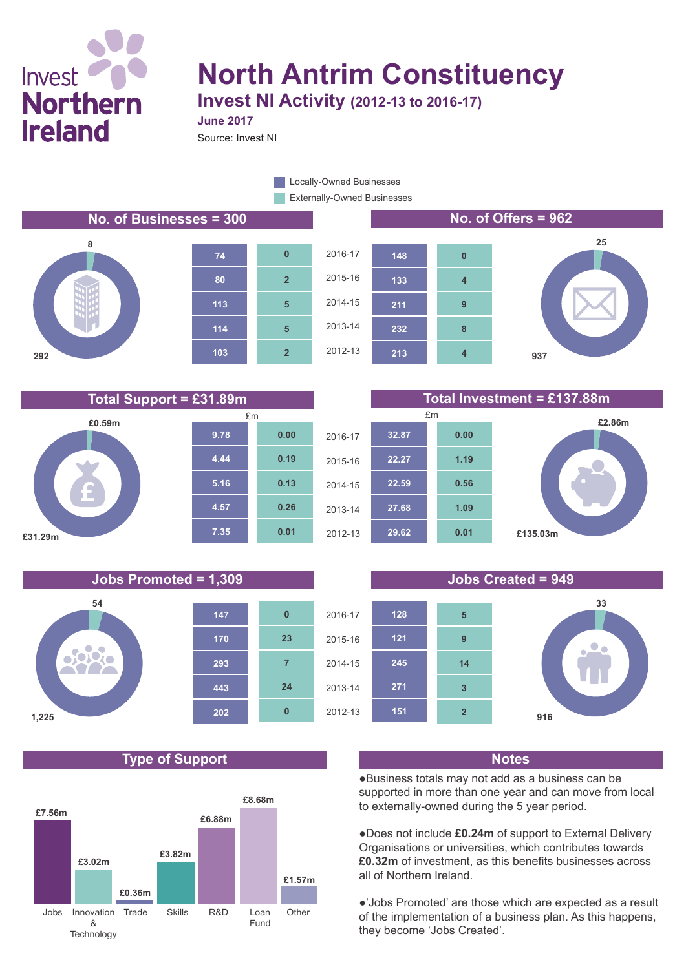## Invest **Northern Ireland**

# **North Antrim Constituency**

**Invest NI Activity (2012-13 to 2016-17)**

Source: Invest NI **June 2017**

> Externally-Owned Businesses **Locally-Owned Businesses**

#### **No. of Businesses = 300 No. of Offers = 962**















#### **Jobs Promoted = 1,309 Jobs Created = 949**



## **Type of Support Notes**





●Business totals may not add as a business can be supported in more than one year and can move from local to externally-owned during the 5 year period.

●Does not include **£0.24m** of support to External Delivery Organisations or universities, which contributes towards **£0.32m** of investment, as this benefits businesses across all of Northern Ireland.

●'Jobs Promoted' are those which are expected as a result of the implementation of a business plan. As this happens, they become 'Jobs Created'.